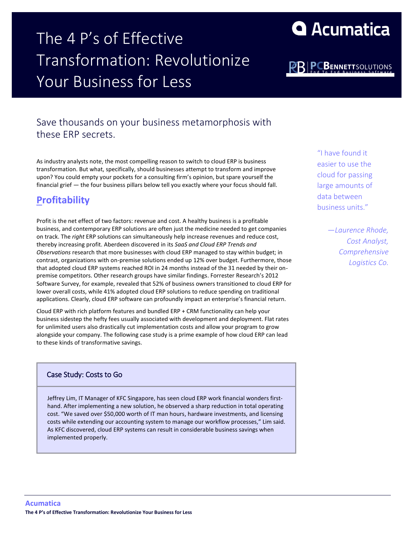## The 4 P's of Effective Transformation: Revolutionize Your Business for Less

## Save thousands on your business metamorphosis with these ERP secrets.

As industry analysts note, the most compelling reason to switch to cloud ERP is business transformation. But what, specifically, should businesses attempt to transform and improve upon? You could empty your pockets for a consulting firm's opinion, but spare yourself the financial grief — the four business pillars below tell you exactly where your focus should fall.

## **Profitability**

Profit is the net effect of two factors: revenue and cost. A healthy business is a profitable business, and contemporary ERP solutions are often just the medicine needed to get companies on track. The *right* ERP solutions can simultaneously help increase revenues and reduce cost, thereby increasing profit. Aberdeen discovered in its *SaaS and Cloud ERP Trends and Observations* research that more businesses with cloud ERP managed to stay within budget; in contrast, organizations with on-premise solutions ended up 12% over budget. Furthermore, those that adopted cloud ERP systems reached ROI in 24 months instead of the 31 needed by their onpremise competitors. Other research groups have similar findings. Forrester Research's 2012 Software Survey, for example, revealed that 52% of business owners transitioned to cloud ERP for lower overall costs, while 41% adopted cloud ERP solutions to reduce spending on traditional applications. Clearly, cloud ERP software can profoundly impact an enterprise's financial return.

Cloud ERP with rich platform features and bundled ERP + CRM functionality can help your business sidestep the hefty fees usually associated with development and deployment. Flat rates for unlimited users also drastically cut implementation costs and allow your program to grow alongside your company. The following case study is a prime example of how cloud ERP can lead to these kinds of transformative savings.

#### Case Study: Costs to Go

Jeffrey Lim, IT Manager of KFC Singapore, has seen cloud ERP work financial wonders firsthand. After implementing a new solution, he observed a sharp reduction in total operating cost. "We saved over \$50,000 worth of IT man hours, hardware investments, and licensing costs while extending our accounting system to manage our workflow processes," Lim said. As KFC discovered, cloud ERP systems can result in considerable business savings when implemented properly.

"I have found it easier to use the cloud for passing large amounts of data between business units."

> *—Laurence Rhode, Cost Analyst, Comprehensive Logistics Co.*

**PC** R

# **Q** Acumatica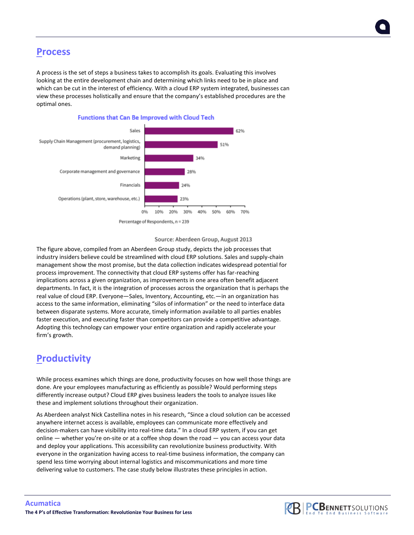### **Process**

A process is the set of steps a business takes to accomplish its goals. Evaluating this involves looking at the entire development chain and determining which links need to be in place and which can be cut in the interest of efficiency. With a cloud ERP system integrated, businesses can view these processes holistically and ensure that the company's established procedures are the optimal ones.



#### **Functions that Can Be Improved with Cloud Tech**

#### Source: Aberdeen Group, August 2013

The figure above, compiled from an Aberdeen Group study, depicts the job processes that industry insiders believe could be streamlined with cloud ERP solutions. Sales and supply-chain management show the most promise, but the data collection indicates widespread potential for process improvement. The connectivity that cloud ERP systems offer has far-reaching implications across a given organization, as improvements in one area often benefit adjacent departments. In fact, it is the integration of processes across the organization that is perhaps the real value of cloud ERP. Everyone—Sales, Inventory, Accounting, etc.—in an organization has access to the same information, eliminating "silos of information" or the need to interface data between disparate systems. More accurate, timely information available to all parties enables faster execution, and executing faster than competitors can provide a competitive advantage. Adopting this technology can empower your entire organization and rapidly accelerate your firm's growth.

## **Productivity**

While process examines which things are done, productivity focuses on how well those things are done. Are your employees manufacturing as efficiently as possible? Would performing steps differently increase output? Cloud ERP gives business leaders the tools to analyze issues like these and implement solutions throughout their organization.

As Aberdeen analyst Nick Castellina notes in his research, "Since a cloud solution can be accessed anywhere internet access is available, employees can communicate more effectively and decision-makers can have visibility into real-time data." In a cloud ERP system, if you can get online — whether you're on-site or at a coffee shop down the road — you can access your data and deploy your applications. This accessibility can revolutionize business productivity. With everyone in the organization having access to real-time business information, the company can spend less time worrying about internal logistics and miscommunications and more time delivering value to customers. The case study below illustrates these principles in action.

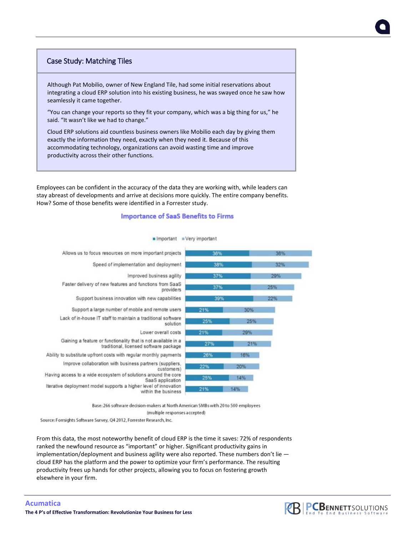#### Case Study: Matching Tiles

Although Pat Mobilio, owner of New England Tile, had some initial reservations about integrating a cloud ERP solution into his existing business, he was swayed once he saw how seamlessly it came together.

"You can change your reports so they fit your company, which was a big thing for us," he said. "It wasn't like we had to change."

Cloud ERP solutions aid countless business owners like Mobilio each day by giving them exactly the information they need, exactly when they need it. Because of this accommodating technology, organizations can avoid wasting time and improve productivity across their other functions.

Employees can be confident in the accuracy of the data they are working with, while leaders can stay abreast of developments and arrive at decisions more quickly. The entire company benefits. How? Some of those benefits were identified in a Forrester study.

#### **Importance of SaaS Benefits to Firms**



#### n Important = Very important

Base: 266 software decision-makers at North American SMBs with 20 to 500 employees

(multiple responses accepted)

Source: Forrsights Software Survey, Q4 2012, Forrester Research, Inc.

From this data, the most noteworthy benefit of cloud ERP is the time it saves: 72% of respondents ranked the newfound resource as "important" or higher. Significant productivity gains in implementation/deployment and business agility were also reported. These numbers don't lie cloud ERP has the platform and the power to optimize your firm's performance. The resulting productivity frees up hands for other projects, allowing you to focus on fostering growth elsewhere in your firm.